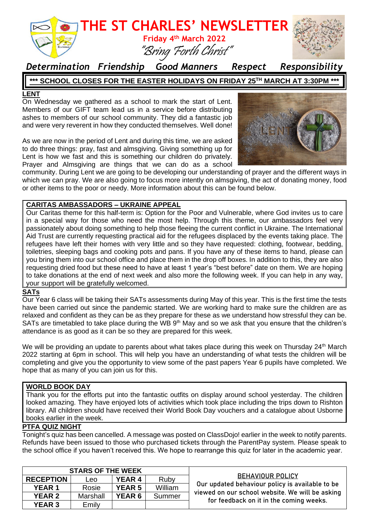

### *Determination Friendship Good Manners Respect Responsibility*

### **\*\*\* SCHOOL CLOSES FOR THE EASTER HOLIDAYS ON FRIDAY 25TH MARCH AT 3:30PM \*\*\***

#### **LENT**

On Wednesday we gathered as a school to mark the start of Lent. Members of our GIFT team lead us in a service before distributing ashes to members of our school community. They did a fantastic job and were very reverent in how they conducted themselves. Well done!

As we are now in the period of Lent and during this time, we are asked to do three things: pray, fast and almsgiving. Giving something up for Lent is how we fast and this is something our children do privately. Prayer and Almsgiving are things that we can do as a school



community. During Lent we are going to be developing our understanding of prayer and the different ways in which we can pray. We are also going to focus more intently on almsgiving, the act of donating money, food or other items to the poor or needy. More information about this can be found below.

#### **CARITAS AMBASSADORS – UKRAINE APPEAL**

Our Caritas theme for this half-term is: Option for the Poor and Vulnerable, where God invites us to care in a special way for those who need the most help. Through this theme, our ambassadors feel very passionately about doing something to help those fleeing the current conflict in Ukraine. The International Aid Trust are currently requesting practical aid for the refugees displaced by the events taking place. The refugees have left their homes with very little and so they have requested: clothing, footwear, bedding, toiletries, sleeping bags and cooking pots and pans. If you have any of these items to hand, please can you bring them into our school office and place them in the drop off boxes. In addition to this, they are also requesting dried food but these need to have at least 1 year's "best before" date on them. We are hoping to take donations at the end of next week and also more the following week. If you can help in any way, your support will be gratefully welcomed.

#### **SATs**

Our Year 6 class will be taking their SATs assessments during May of this year. This is the first time the tests have been carried out since the pandemic started. We are working hard to make sure the children are as relaxed and confident as they can be as they prepare for these as we understand how stressful they can be. SATs are timetabled to take place during the WB 9<sup>th</sup> May and so we ask that you ensure that the children's attendance is as good as it can be so they are prepared for this week.

We will be providing an update to parents about what takes place during this week on Thursday 24<sup>th</sup> March 2022 starting at 6pm in school. This will help you have an understanding of what tests the children will be completing and give you the opportunity to view some of the past papers Year 6 pupils have completed. We hope that as many of you can join us for this.

#### **WORLD BOOK DAY**

Thank you for the efforts put into the fantastic outfits on display around school yesterday. The children looked amazing. They have enjoyed lots of activities which took place including the trips down to Rishton library. All children should have received their World Book Day vouchers and a catalogue about Usborne books earlier in the week.

#### **PTFA QUIZ NIGHT**

Tonight's quiz has been cancelled. A message was posted on ClassDojo! earlier in the week to notify parents. Refunds have been issued to those who purchased tickets through the ParentPay system. Please speak to the school office if you haven't received this. We hope to rearrange this quiz for later in the academic year.

| <b>STARS OF THE WEEK</b> |          |               |         |                                                                                                                                                                          |
|--------------------------|----------|---------------|---------|--------------------------------------------------------------------------------------------------------------------------------------------------------------------------|
| <b>RECEPTION</b>         | Leo      | <b>YEAR 4</b> | Ruby    | <b>BEHAVIOUR POLICY</b><br>Our updated behaviour policy is available to be<br>viewed on our school website. We will be asking<br>for feedback on it in the coming weeks. |
| <b>YEAR1</b>             | Rosie    | <b>YEAR 5</b> | William |                                                                                                                                                                          |
| <b>YEAR 2</b>            | Marshall | <b>YEAR 6</b> | Summer  |                                                                                                                                                                          |
| <b>YEAR 3</b>            | Emily    |               |         |                                                                                                                                                                          |